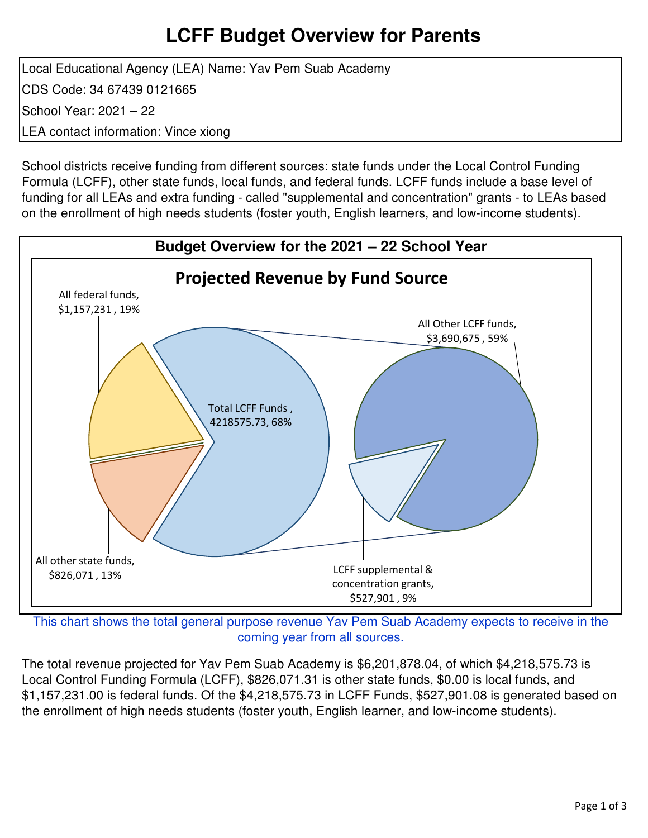### **LCFF Budget Overview for Parents**

Local Educational Agency (LEA) Name: Yav Pem Suab Academy CDS Code: 34 67439 0121665 School Year: 2021 – 22 LEA contact information: Vince xiong

School districts receive funding from different sources: state funds under the Local Control Funding Formula (LCFF), other state funds, local funds, and federal funds. LCFF funds include a base level of funding for all LEAs and extra funding - called "supplemental and concentration" grants - to LEAs based on the enrollment of high needs students (foster youth, English learners, and low-income students).



This chart shows the total general purpose revenue Yav Pem Suab Academy expects to receive in the coming year from all sources.

The total revenue projected for Yav Pem Suab Academy is \$6,201,878.04, of which \$4,218,575.73 is Local Control Funding Formula (LCFF), \$826,071.31 is other state funds, \$0.00 is local funds, and \$1,157,231.00 is federal funds. Of the \$4,218,575.73 in LCFF Funds, \$527,901.08 is generated based on the enrollment of high needs students (foster youth, English learner, and low-income students).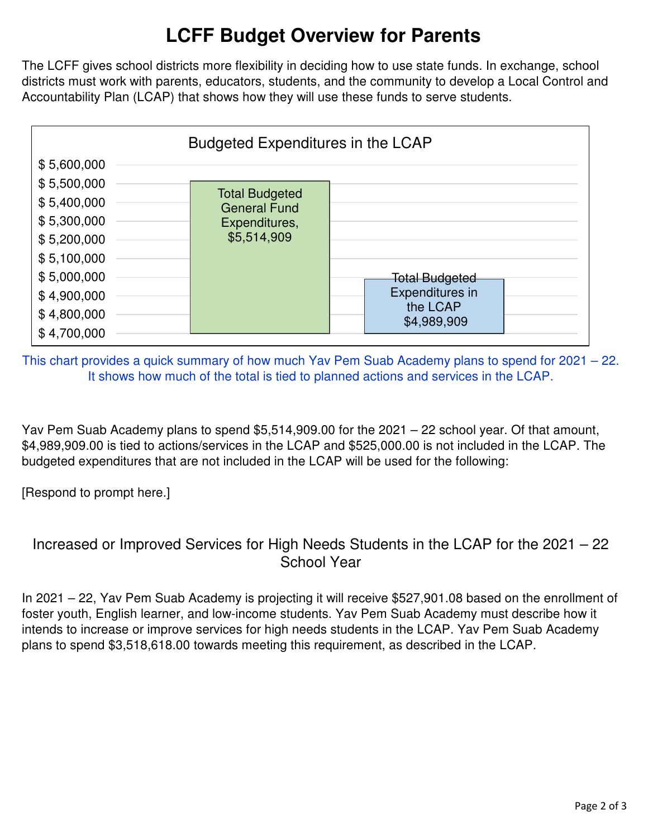# **LCFF Budget Overview for Parents**

The LCFF gives school districts more flexibility in deciding how to use state funds. In exchange, school districts must work with parents, educators, students, and the community to develop a Local Control and Accountability Plan (LCAP) that shows how they will use these funds to serve students.



This chart provides a quick summary of how much Yav Pem Suab Academy plans to spend for 2021 – 22. It shows how much of the total is tied to planned actions and services in the LCAP.

Yav Pem Suab Academy plans to spend \$5,514,909.00 for the 2021 – 22 school year. Of that amount, \$4,989,909.00 is tied to actions/services in the LCAP and \$525,000.00 is not included in the LCAP. The budgeted expenditures that are not included in the LCAP will be used for the following:

[Respond to prompt here.]

### Increased or Improved Services for High Needs Students in the LCAP for the 2021 – 22 School Year

In 2021 – 22, Yav Pem Suab Academy is projecting it will receive \$527,901.08 based on the enrollment of foster youth, English learner, and low-income students. Yav Pem Suab Academy must describe how it intends to increase or improve services for high needs students in the LCAP. Yav Pem Suab Academy plans to spend \$3,518,618.00 towards meeting this requirement, as described in the LCAP.